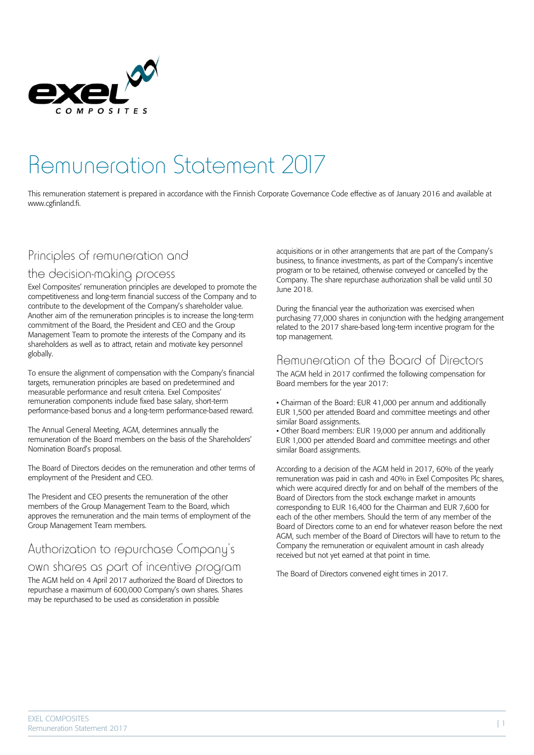

# Remuneration Statement 2017

This remuneration statement is prepared in accordance with the Finnish Corporate Governance Code effective as of January 2016 and available at www.cgfinland.fi.

## Principles of remuneration and

#### the decision-making process

Exel Composites' remuneration principles are developed to promote the competitiveness and long-term financial success of the Company and to contribute to the development of the Company's shareholder value. Another aim of the remuneration principles is to increase the long-term commitment of the Board, the President and CEO and the Group Management Team to promote the interests of the Company and its shareholders as well as to attract, retain and motivate key personnel globally.

To ensure the alignment of compensation with the Company's financial targets, remuneration principles are based on predetermined and measurable performance and result criteria. Exel Composites' remuneration components include fixed base salary, short-term performance-based bonus and a long-term performance-based reward.

The Annual General Meeting, AGM, determines annually the remuneration of the Board members on the basis of the Shareholders' Nomination Board's proposal.

The Board of Directors decides on the remuneration and other terms of employment of the President and CEO.

The President and CEO presents the remuneration of the other members of the Group Management Team to the Board, which approves the remuneration and the main terms of employment of the Group Management Team members.

## Authorization to repurchase Company's

#### own shares as part of incentive program

The AGM held on 4 April 2017 authorized the Board of Directors to repurchase a maximum of 600,000 Company's own shares. Shares may be repurchased to be used as consideration in possible

acquisitions or in other arrangements that are part of the Company's business, to finance investments, as part of the Company's incentive program or to be retained, otherwise conveyed or cancelled by the Company. The share repurchase authorization shall be valid until 30 June 2018.

During the financial year the authorization was exercised when purchasing 77,000 shares in conjunction with the hedging arrangement related to the 2017 share-based long-term incentive program for the top management.

#### Remuneration of the Board of Directors

The AGM held in 2017 confirmed the following compensation for Board members for the year 2017:

• Chairman of the Board: EUR 41,000 per annum and additionally EUR 1,500 per attended Board and committee meetings and other similar Board assignments.

• Other Board members: EUR 19,000 per annum and additionally EUR 1,000 per attended Board and committee meetings and other similar Board assignments.

According to a decision of the AGM held in 2017, 60% of the yearly remuneration was paid in cash and 40% in Exel Composites Plc shares, which were acquired directly for and on behalf of the members of the Board of Directors from the stock exchange market in amounts corresponding to EUR 16,400 for the Chairman and EUR 7,600 for each of the other members. Should the term of any member of the Board of Directors come to an end for whatever reason before the next AGM, such member of the Board of Directors will have to return to the Company the remuneration or equivalent amount in cash already received but not yet earned at that point in time.

The Board of Directors convened eight times in 2017.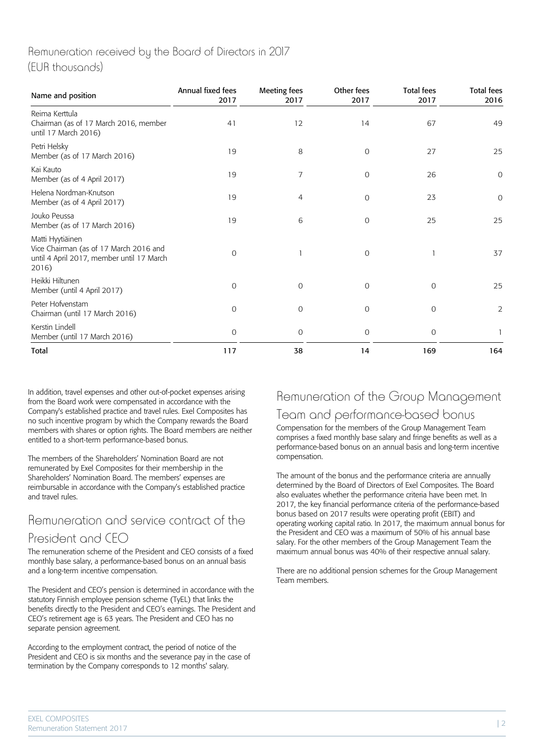#### Remuneration received by the Board of Directors in 2017 (EUR thousands)

| Name and position                                                                                                | Annual fixed fees<br>2017 | <b>Meeting fees</b><br>2017 | Other fees<br>2017 | <b>Total fees</b><br>2017 | <b>Total fees</b><br>2016 |
|------------------------------------------------------------------------------------------------------------------|---------------------------|-----------------------------|--------------------|---------------------------|---------------------------|
| Reima Kerttula<br>Chairman (as of 17 March 2016, member<br>until 17 March 2016)                                  | 41                        | 12                          | 14                 | 67                        | 49                        |
| Petri Helsky<br>Member (as of 17 March 2016)                                                                     | 19                        | 8                           | $\overline{O}$     | 27                        | 25                        |
| Kai Kauto<br>Member (as of 4 April 2017)                                                                         | 19                        | 7                           | $\mathcal{O}$      | 26                        | $\overline{O}$            |
| Helena Nordman-Knutson<br>Member (as of 4 April 2017)                                                            | 19                        | 4                           | $\mathbf{O}$       | 23                        | $\mathsf O$               |
| Jouko Peussa<br>Member (as of 17 March 2016)                                                                     | 19                        | 6                           | $\mathbf 0$        | 25                        | 25                        |
| Matti Hyytiäinen<br>Vice Chairman (as of 17 March 2016 and<br>until 4 April 2017, member until 17 March<br>2016) | 0                         |                             | $\mathbf 0$        |                           | 37                        |
| Heikki Hiltunen<br>Member (until 4 April 2017)                                                                   | 0                         | $\mathbf 0$                 | $\mathbf 0$        | 0                         | 25                        |
| Peter Hofvenstam<br>Chairman (until 17 March 2016)                                                               | $\mathbf 0$               | $\mathbf 0$                 | $\mathbf 0$        | $\overline{O}$            | $\overline{2}$            |
| Kerstin Lindell<br>Member (until 17 March 2016)                                                                  | 0                         | $\mathcal{O}$               | $\mathcal{O}$      | $\mathcal{O}$             | 1                         |
| Total                                                                                                            | 117                       | 38                          | 14                 | 169                       | 164                       |

In addition, travel expenses and other out-of-pocket expenses arising from the Board work were compensated in accordance with the Company's established practice and travel rules. Exel Composites has no such incentive program by which the Company rewards the Board members with shares or option rights. The Board members are neither entitled to a short-term performance-based bonus.

The members of the Shareholders' Nomination Board are not remunerated by Exel Composites for their membership in the Shareholders' Nomination Board. The members' expenses are reimbursable in accordance with the Company's established practice and travel rules.

# Remuneration and service contract of the President and CEO

The remuneration scheme of the President and CEO consists of a fixed monthly base salary, a performance-based bonus on an annual basis and a long-term incentive compensation.

The President and CEO's pension is determined in accordance with the statutory Finnish employee pension scheme (TyEL) that links the benefits directly to the President and CEO's earnings. The President and CEO's retirement age is 63 years. The President and CEO has no separate pension agreement.

According to the employment contract, the period of notice of the President and CEO is six months and the severance pay in the case of termination by the Company corresponds to 12 months' salary.

# Remuneration of the Group Management

# Team and performance-based bonus

Compensation for the members of the Group Management Team comprises a fixed monthly base salary and fringe benefits as well as a performance-based bonus on an annual basis and long-term incentive compensation.

The amount of the bonus and the performance criteria are annually determined by the Board of Directors of Exel Composites. The Board also evaluates whether the performance criteria have been met. In 2017, the key financial performance criteria of the performance-based bonus based on 2017 results were operating profit (EBIT) and operating working capital ratio. In 2017, the maximum annual bonus for the President and CEO was a maximum of 50% of his annual base salary. For the other members of the Group Management Team the maximum annual bonus was 40% of their respective annual salary.

There are no additional pension schemes for the Group Management Team members.